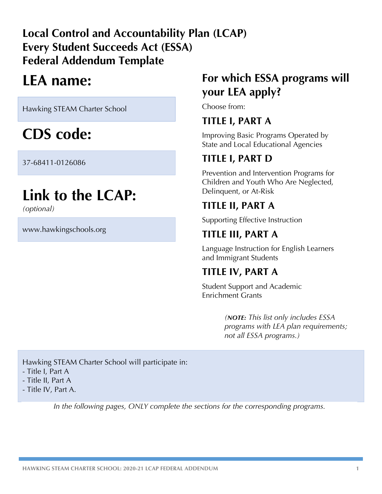# **Local Control and Accountability Plan (LCAP) Every Student Succeeds Act (ESSA) Federal Addendum Template**

# **LEA name:**

Hawking STEAM Charter School

# **CDS code:**

37-68411-0126086

# **Link to the LCAP:**

*(optional)*

www.hawkingschools.org

# **For which ESSA programs will your LEA apply?**

Choose from:

# **TITLE I, PART A**

Improving Basic Programs Operated by State and Local Educational Agencies

# **TITLE I, PART D**

Prevention and Intervention Programs for Children and Youth Who Are Neglected, Delinquent, or At-Risk

# **TITLE II, PART A**

Supporting Effective Instruction

# **TITLE III, PART A**

Language Instruction for English Learners and Immigrant Students

# **TITLE IV, PART A**

Student Support and Academic Enrichment Grants

> *(NOTE: This list only includes ESSA programs with LEA plan requirements; not all ESSA programs.)*

Hawking STEAM Charter School will participate in: - Title I, Part A - Title II, Part A - Title IV, Part A.

*In the following pages, ONLY complete the sections for the corresponding programs.*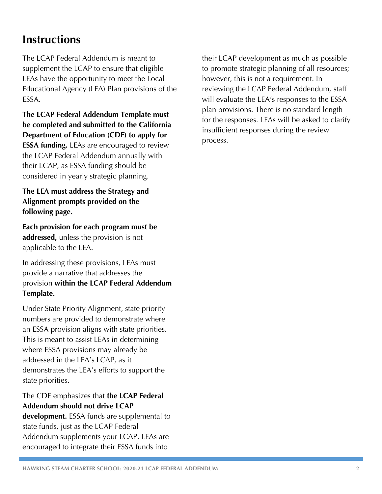# **Instructions**

The LCAP Federal Addendum is meant to supplement the LCAP to ensure that eligible LEAs have the opportunity to meet the Local Educational Agency (LEA) Plan provisions of the ESSA.

**The LCAP Federal Addendum Template must be completed and submitted to the California Department of Education (CDE) to apply for ESSA funding.** LEAs are encouraged to review the LCAP Federal Addendum annually with their LCAP, as ESSA funding should be considered in yearly strategic planning.

**The LEA must address the Strategy and Alignment prompts provided on the following page.** 

**Each provision for each program must be addressed,** unless the provision is not applicable to the LEA.

In addressing these provisions, LEAs must provide a narrative that addresses the provision **within the LCAP Federal Addendum Template.**

Under State Priority Alignment, state priority numbers are provided to demonstrate where an ESSA provision aligns with state priorities. This is meant to assist LEAs in determining where ESSA provisions may already be addressed in the LEA's LCAP, as it demonstrates the LEA's efforts to support the state priorities.

## The CDE emphasizes that **the LCAP Federal Addendum should not drive LCAP**

**development.** ESSA funds are supplemental to state funds, just as the LCAP Federal Addendum supplements your LCAP. LEAs are encouraged to integrate their ESSA funds into

their LCAP development as much as possible to promote strategic planning of all resources; however, this is not a requirement. In reviewing the LCAP Federal Addendum, staff will evaluate the LEA's responses to the ESSA plan provisions. There is no standard length for the responses. LEAs will be asked to clarify insufficient responses during the review process.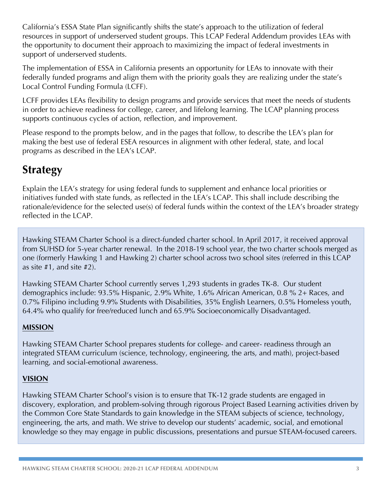California's ESSA State Plan significantly shifts the state's approach to the utilization of federal resources in support of underserved student groups. This LCAP Federal Addendum provides LEAs with the opportunity to document their approach to maximizing the impact of federal investments in support of underserved students.

The implementation of ESSA in California presents an opportunity for LEAs to innovate with their federally funded programs and align them with the priority goals they are realizing under the state's Local Control Funding Formula (LCFF).

LCFF provides LEAs flexibility to design programs and provide services that meet the needs of students in order to achieve readiness for college, career, and lifelong learning. The LCAP planning process supports continuous cycles of action, reflection, and improvement.

Please respond to the prompts below, and in the pages that follow, to describe the LEA's plan for making the best use of federal ESEA resources in alignment with other federal, state, and local programs as described in the LEA's LCAP.

# **Strategy**

Explain the LEA's strategy for using federal funds to supplement and enhance local priorities or initiatives funded with state funds, as reflected in the LEA's LCAP. This shall include describing the rationale/evidence for the selected use(s) of federal funds within the context of the LEA's broader strategy reflected in the LCAP.

Hawking STEAM Charter School is a direct-funded charter school. In April 2017, it received approval from SUHSD for 5-year charter renewal. In the 2018-19 school year, the two charter schools merged as one (formerly Hawking 1 and Hawking 2) charter school across two school sites (referred in this LCAP as site #1, and site #2).

Hawking STEAM Charter School currently serves 1,293 students in grades TK-8. Our student demographics include: 93.5% Hispanic, 2.9% White, 1.6% African American, 0.8 % 2+ Races, and 0.7% Filipino including 9.9% Students with Disabilities, 35% English Learners, 0.5% Homeless youth, 64.4% who qualify for free/reduced lunch and 65.9% Socioeconomically Disadvantaged.

### **MISSION**

Hawking STEAM Charter School prepares students for college- and career- readiness through an integrated STEAM curriculum (science, technology, engineering, the arts, and math), project-based learning, and social-emotional awareness.

### **VISION**

Hawking STEAM Charter School's vision is to ensure that TK-12 grade students are engaged in discovery, exploration, and problem-solving through rigorous Project Based Learning activities driven by the Common Core State Standards to gain knowledge in the STEAM subjects of science, technology, engineering, the arts, and math. We strive to develop our students' academic, social, and emotional knowledge so they may engage in public discussions, presentations and pursue STEAM-focused careers.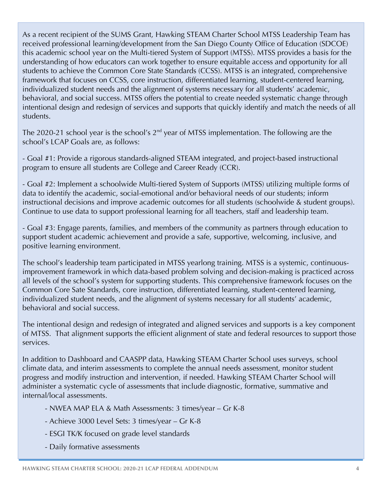As a recent recipient of the SUMS Grant, Hawking STEAM Charter School MTSS Leadership Team has received professional learning/development from the San Diego County Office of Education (SDCOE) this academic school year on the Multi-tiered System of Support (MTSS). MTSS provides a basis for the understanding of how educators can work together to ensure equitable access and opportunity for all students to achieve the Common Core State Standards (CCSS). MTSS is an integrated, comprehensive framework that focuses on CCSS, core instruction, differentiated learning, student-centered learning, individualized student needs and the alignment of systems necessary for all students' academic, behavioral, and social success. MTSS offers the potential to create needed systematic change through intentional design and redesign of services and supports that quickly identify and match the needs of all students.

The 2020-21 school year is the school's  $2<sup>nd</sup>$  year of MTSS implementation. The following are the school's LCAP Goals are, as follows:

- Goal #1: Provide a rigorous standards-aligned STEAM integrated, and project-based instructional program to ensure all students are College and Career Ready (CCR).

- Goal #2: Implement a schoolwide Multi-tiered System of Supports (MTSS) utilizing multiple forms of data to identify the academic, social-emotional and/or behavioral needs of our students; inform instructional decisions and improve academic outcomes for all students (schoolwide & student groups). Continue to use data to support professional learning for all teachers, staff and leadership team.

- Goal #3: Engage parents, families, and members of the community as partners through education to support student academic achievement and provide a safe, supportive, welcoming, inclusive, and positive learning environment.

The school's leadership team participated in MTSS yearlong training. MTSS is a systemic, continuousimprovement framework in which data-based problem solving and decision-making is practiced across all levels of the school's system for supporting students. This comprehensive framework focuses on the Common Core Sate Standards, core instruction, differentiated learning, student-centered learning, individualized student needs, and the alignment of systems necessary for all students' academic, behavioral and social success.

The intentional design and redesign of integrated and aligned services and supports is a key component of MTSS. That alignment supports the efficient alignment of state and federal resources to support those services.

In addition to Dashboard and CAASPP data, Hawking STEAM Charter School uses surveys, school climate data, and interim assessments to complete the annual needs assessment, monitor student progress and modify instruction and intervention, if needed. Hawking STEAM Charter School will administer a systematic cycle of assessments that include diagnostic, formative, summative and internal/local assessments.

- NWEA MAP ELA & Math Assessments: 3 times/year Gr K-8
- Achieve 3000 Level Sets: 3 times/year Gr K-8
- ESGI TK/K focused on grade level standards
- Daily formative assessments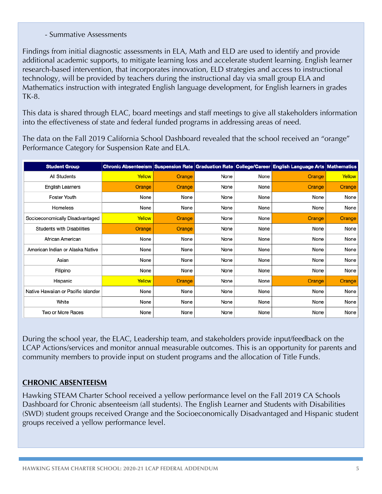#### - Summative Assessments

Findings from initial diagnostic assessments in ELA, Math and ELD are used to identify and provide additional academic supports, to mitigate learning loss and accelerate student learning. English learner research-based intervention, that incorporates innovation, ELD strategies and access to instructional technology, will be provided by teachers during the instructional day via small group ELA and Mathematics instruction with integrated English language development, for English learners in grades TK-8.

This data is shared through ELAC, board meetings and staff meetings to give all stakeholders information into the effectiveness of state and federal funded programs in addressing areas of need.

The data on the Fall 2019 California School Dashboard revealed that the school received an "orange" Performance Category for Suspension Rate and ELA.

| <b>Student Group</b>                |        |        |      |      | Chronic Absenteeism Suspension Rate Graduation Rate College/Career English Language Arts Mathematics |        |
|-------------------------------------|--------|--------|------|------|------------------------------------------------------------------------------------------------------|--------|
| <b>All Students</b>                 | Yellow | Orange | None | None | Orange                                                                                               | Yellow |
| <b>English Learners</b>             | Orange | Orange | None | None | Orange                                                                                               | Orange |
| <b>Foster Youth</b>                 | None   | None   | None | None | None                                                                                                 | None   |
| <b>Homeless</b>                     | None   | None   | None | None | None                                                                                                 | None   |
| Socioeconomically Disadvantaged     | Yellow | Orange | None | None | Orange                                                                                               | Orange |
| <b>Students with Disabilities</b>   | Orange | Orange | None | None | None                                                                                                 | None   |
| African American                    | None   | None   | None | None | None                                                                                                 | None   |
| American Indian or Alaska Native    | None   | None   | None | None | None                                                                                                 | None   |
| Asian                               | None   | None   | None | None | None                                                                                                 | None   |
| Filipino                            | None   | None   | None | None | None                                                                                                 | None   |
| Hispanic                            | Yellow | Orange | None | None | Orange                                                                                               | Orange |
| Native Hawaiian or Pacific Islander | None   | None   | None | None | None                                                                                                 | None   |
| White                               | None   | None   | None | None | None                                                                                                 | None   |
| Two or More Races                   | None   | None   | None | None | None                                                                                                 | None   |

During the school year, the ELAC, Leadership team, and stakeholders provide input/feedback on the LCAP Actions/services and monitor annual measurable outcomes. This is an opportunity for parents and community members to provide input on student programs and the allocation of Title Funds.

#### **CHRONIC ABSENTEEISM**

Hawking STEAM Charter School received a yellow performance level on the Fall 2019 CA Schools Dashboard for Chronic absenteeism (all students). The English Learner and Students with Disabilities (SWD) student groups received Orange and the Socioeconomically Disadvantaged and Hispanic student groups received a yellow performance level.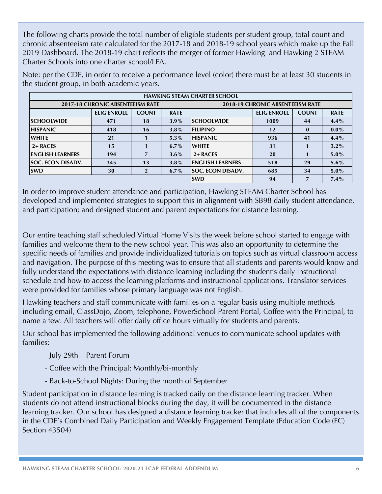The following charts provide the total number of eligible students per student group, total count and chronic absenteeism rate calculated for the 2017-18 and 2018-19 school years which make up the Fall 2019 Dashboard. The 2018-19 chart reflects the merger of former Hawking and Hawking 2 STEAM Charter Schools into one charter school/LEA.

| <b>HAWKING STEAM CHARTER SCHOOL</b> |                    |              |                                         |                          |                    |              |             |
|-------------------------------------|--------------------|--------------|-----------------------------------------|--------------------------|--------------------|--------------|-------------|
| 2017-18 CHRONIC ABSENTEEISM RATE    |                    |              | <b>2018-19 CHRONIC ABSENTEEISM RATE</b> |                          |                    |              |             |
|                                     | <b>ELIG ENROLL</b> | <b>COUNT</b> | <b>RATE</b>                             |                          | <b>ELIG ENROLL</b> | <b>COUNT</b> | <b>RATE</b> |
| <b>ISCHOOLWIDE</b>                  | 471                | 18           | $3.9\%$                                 | <b>SCHOOLWIDE</b>        | 1009               | 44           | $4.4\%$     |
| <b>HISPANIC</b>                     | 418                | 16           | $3.8\%$                                 | <b>FILIPINO</b>          | 12                 | $\bf{0}$     | $0.0\%$     |
| <b>WHITE</b>                        | 21                 |              | $5.3\%$                                 | <b>HISPANIC</b>          | 936                | 41           | $4.4\%$     |
| 2+ RACES                            | 15                 |              | $6.7\%$                                 | <b>WHITE</b>             | 31                 |              | $3.2\%$     |
| <b>ENGLISH LEARNERS</b>             | 194                |              | $3.6\%$                                 | $2 + RACES$              | 20                 |              | $5.0\%$     |
| <b>SOC. ECON DISADV.</b>            | 345                | 13           | $3.8\%$                                 | <b>IENGLISH LEARNERS</b> | 518                | 29           | $5.6\%$     |
| <b>SWD</b>                          | 30                 | $\mathbf 2$  | $6.7\%$                                 | <b>SOC. ECON DISADV.</b> | 685                | 34           | $5.0\%$     |
|                                     |                    |              |                                         | <b>SWD</b>               | 94                 |              | $7.4\%$     |
|                                     |                    |              |                                         |                          |                    |              |             |

Note: per the CDE, in order to receive a performance level (color) there must be at least 30 students in the student group, in both academic years.

In order to improve student attendance and participation, Hawking STEAM Charter School has developed and implemented strategies to support this in alignment with SB98 daily student attendance, and participation; and designed student and parent expectations for distance learning.

Our entire teaching staff scheduled Virtual Home Visits the week before school started to engage with families and welcome them to the new school year. This was also an opportunity to determine the specific needs of families and provide individualized tutorials on topics such as virtual classroom access and navigation. The purpose of this meeting was to ensure that all students and parents would know and fully understand the expectations with distance learning including the student's daily instructional schedule and how to access the learning platforms and instructional applications. Translator services were provided for families whose primary language was not English.

Hawking teachers and staff communicate with families on a regular basis using multiple methods including email, ClassDojo, Zoom, telephone, PowerSchool Parent Portal, Coffee with the Principal, to name a few. All teachers will offer daily office hours virtually for students and parents.

Our school has implemented the following additional venues to communicate school updates with families:

- July 29th Parent Forum
- Coffee with the Principal: Monthly/bi-monthly
- Back-to-School Nights: During the month of September

Student participation in distance learning is tracked daily on the distance learning tracker. When students do not attend instructional blocks during the day, it will be documented in the distance learning tracker. Our school has designed a distance learning tracker that includes all of the components in the CDE's Combined Daily Participation and Weekly Engagement Template (Education Code (EC) Section 43504)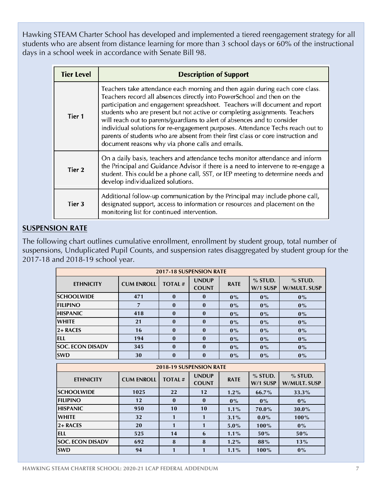Hawking STEAM Charter School has developed and implemented a tiered reengagement strategy for all students who are absent from distance learning for more than 3 school days or 60% of the instructional days in a school week in accordance with Senate Bill 98.

| <b>Tier Level</b> | <b>Description of Support</b>                                                                                                                                                                                                                                                                                                                                                                                                                                                                                                                                                                                               |
|-------------------|-----------------------------------------------------------------------------------------------------------------------------------------------------------------------------------------------------------------------------------------------------------------------------------------------------------------------------------------------------------------------------------------------------------------------------------------------------------------------------------------------------------------------------------------------------------------------------------------------------------------------------|
| Tier 1            | Teachers take attendance each morning and then again during each core class.<br>Teachers record all absences directly into PowerSchool and then on the<br>participation and engagement spreadsheet. Teachers will document and report<br>students who are present but not active or completing assignments. Teachers<br>will reach out to parents/guardians to alert of absences and to consider<br>individual solutions for re-engagement purposes. Attendance Techs reach out to<br>parents of students who are absent from their first class or core instruction and<br>document reasons why via phone calls and emails. |
| Tier <sub>2</sub> | On a daily basis, teachers and attendance techs monitor attendance and inform<br>the Principal and Guidance Advisor if there is a need to intervene to re-engage a<br>student. This could be a phone call, SST, or IEP meeting to determine needs and<br>develop individualized solutions.                                                                                                                                                                                                                                                                                                                                  |
| Tier 3            | Additional follow-up communication by the Principal may include phone call,<br>designated support, access to information or resources and placement on the<br>monitoring list for continued intervention.                                                                                                                                                                                                                                                                                                                                                                                                                   |

#### **SUSPENSION RATE**

The following chart outlines cumulative enrollment, enrollment by student group, total number of suspensions, Unduplicated Pupil Counts, and suspension rates disaggregated by student group for the 2017-18 and 2018-19 school year.

| 2017-18 SUSPENSION RATE |                   |               |                              |             |                       |                                  |
|-------------------------|-------------------|---------------|------------------------------|-------------|-----------------------|----------------------------------|
| <b>ETHNICITY</b>        | <b>CUM ENROLL</b> | <b>TOTAL#</b> | <b>UNDUP</b><br><b>COUNT</b> | <b>RATE</b> | $%$ STUD.<br>W/1 SUSP | $%$ STUD.<br><b>W/MULT. SUSP</b> |
| <b>SCHOOLWIDE</b>       | 471               | $\mathbf{0}$  | $\mathbf{0}$                 | $0\%$       | $0\%$                 | $0\%$                            |
| <b>FILIPINO</b>         | $\overline{7}$    | $\mathbf{0}$  | $\mathbf{0}$                 | $0\%$       | $0\%$                 | $0\%$                            |
| <b>HISPANIC</b>         | 418               | $\mathbf{0}$  | $\mathbf{0}$                 | $0\%$       | $0\%$                 | $0\%$                            |
| <b>WHITE</b>            | 21                | $\mathbf{0}$  | $\bf{0}$                     | $0\%$       | $0\%$                 | $0\%$                            |
| 2+RACES                 | 16                | $\mathbf{0}$  | $\bf{0}$                     | $0\%$       | $0\%$                 | $0\%$                            |
| <b>ELL</b>              | 194               | $\mathbf{0}$  | $\bf{0}$                     | $0\%$       | $0\%$                 | $0\%$                            |
| <b>SOC. ECON DISADV</b> | 345               | $\mathbf{0}$  | $\mathbf{0}$                 | $0\%$       | $0\%$                 | $0\%$                            |
| <b>SWD</b>              | 30                | $\bf{0}$      | $\bf{0}$                     | $0\%$       | $0\%$                 | $0\%$                            |
| 2018-19 SUSPENSION RATE |                   |               |                              |             |                       |                                  |
|                         |                   |               |                              |             |                       |                                  |
| <b>ETHNICITY</b>        | <b>CUM ENROLL</b> | <b>TOTAL#</b> | <b>UNDUP</b><br><b>COUNT</b> | <b>RATE</b> | $%$ STUD.<br>W/1 SUSP | $%$ STUD.<br><b>W/MULT. SUSP</b> |
| <b>SCHOOLWIDE</b>       | 1025              | 22            | 12                           | $1.2\%$     | 66.7%                 | 33.3%                            |
| <b>FILIPINO</b>         | 12                | $\mathbf{0}$  | $\mathbf{0}$                 | $0\%$       | $0\%$                 | $0\%$                            |
| <b>HISPANIC</b>         | 950               | 10            | 10                           | $1.1\%$     | 70.0%                 | 30.0%                            |
| <b>WHITE</b>            | 32                | $\mathbf{1}$  | 1                            | $3.1\%$     | $0.0\%$               | 100%                             |
| $2 + RACES$             | 20                | $\mathbf{1}$  | 1                            | $5.0\%$     | 100%                  | $0\%$                            |
| <b>ELL</b>              | 525               | 14            | 6                            | $1.1\%$     | 50%                   | 50%                              |
| <b>SOC. ECON DISADV</b> | 692               | 8             | 8                            | $1.2\%$     | 88%                   | 13%                              |
| <b>SWD</b>              | 94                | $\mathbf{1}$  | 1                            | $1.1\%$     | 100%                  | $0\%$                            |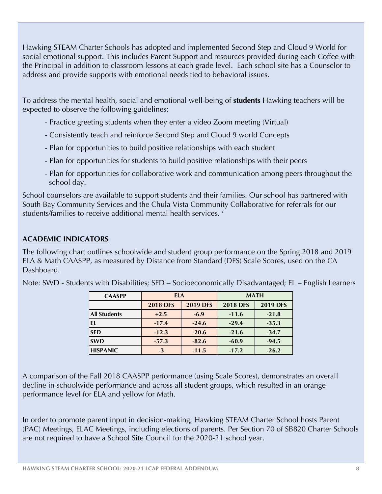Hawking STEAM Charter Schools has adopted and implemented Second Step and Cloud 9 World for social emotional support. This includes Parent Support and resources provided during each Coffee with the Principal in addition to classroom lessons at each grade level. Each school site has a Counselor to address and provide supports with emotional needs tied to behavioral issues.

To address the mental health, social and emotional well-being of **students** Hawking teachers will be expected to observe the following guidelines:

- Practice greeting students when they enter a video Zoom meeting (Virtual)
- Consistently teach and reinforce Second Step and Cloud 9 world Concepts
- Plan for opportunities to build positive relationships with each student
- Plan for opportunities for students to build positive relationships with their peers
- Plan for opportunities for collaborative work and communication among peers throughout the school day.

School counselors are available to support students and their families. Our school has partnered with South Bay Community Services and the Chula Vista Community Collaborative for referrals for our students/families to receive additional mental health services. '

#### **ACADEMIC INDICATORS**

The following chart outlines schoolwide and student group performance on the Spring 2018 and 2019 ELA & Math CAASPP, as measured by Distance from Standard (DFS) Scale Scores, used on the CA Dashboard.

| <b>CAASPP</b>       | <b>ELA</b>      |                 | <b>MATH</b>     |                 |
|---------------------|-----------------|-----------------|-----------------|-----------------|
|                     | <b>2018 DFS</b> | <b>2019 DFS</b> | <b>2018 DFS</b> | <b>2019 DFS</b> |
| <b>All Students</b> | $+2.5$          | $-6.9$          | $-11.6$         | $-21.8$         |
| EL                  | $-17.4$         | $-24.6$         | $-29.4$         | $-35.3$         |
| <b>SED</b>          | $-12.3$         | $-20.6$         | $-21.6$         | $-34.7$         |
| <b>SWD</b>          | $-57.3$         | $-82.6$         | $-60.9$         | $-94.5$         |
| <b>HISPANIC</b>     | $-3$            | $-11.5$         | $-17.2$         | $-26.2$         |

Note: SWD - Students with Disabilities; SED – Socioeconomically Disadvantaged; EL – English Learners

A comparison of the Fall 2018 CAASPP performance (using Scale Scores), demonstrates an overall decline in schoolwide performance and across all student groups, which resulted in an orange performance level for ELA and yellow for Math.

In order to promote parent input in decision-making, Hawking STEAM Charter School hosts Parent (PAC) Meetings, ELAC Meetings, including elections of parents. Per Section 70 of SB820 Charter Schools are not required to have a School Site Council for the 2020-21 school year.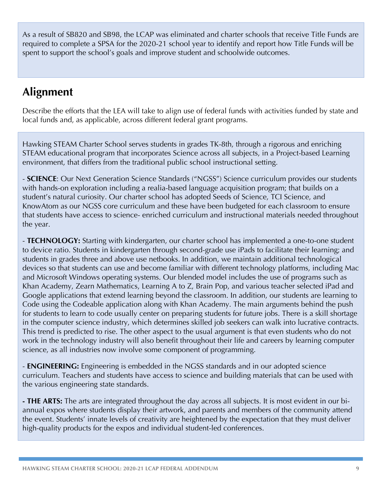As a result of SB820 and SB98, the LCAP was eliminated and charter schools that receive Title Funds are required to complete a SPSA for the 2020-21 school year to identify and report how Title Funds will be spent to support the school's goals and improve student and schoolwide outcomes.

# **Alignment**

Describe the efforts that the LEA will take to align use of federal funds with activities funded by state and local funds and, as applicable, across different federal grant programs.

Hawking STEAM Charter School serves students in grades TK-8th, through a rigorous and enriching STEAM educational program that incorporates Science across all subjects, in a Project-based Learning environment, that differs from the traditional public school instructional setting.

- **SCIENCE**: Our Next Generation Science Standards ("NGSS") Science curriculum provides our students with hands-on exploration including a realia-based language acquisition program; that builds on a student's natural curiosity. Our charter school has adopted Seeds of Science, TCI Science, and KnowAtom as our NGSS core curriculum and these have been budgeted for each classroom to ensure that students have access to science- enriched curriculum and instructional materials needed throughout the year.

- **TECHNOLOGY:** Starting with kindergarten, our charter school has implemented a one-to-one student to device ratio. Students in kindergarten through second-grade use iPads to facilitate their learning; and students in grades three and above use netbooks. In addition, we maintain additional technological devices so that students can use and become familiar with different technology platforms, including Mac and Microsoft Windows operating systems. Our blended model includes the use of programs such as Khan Academy, Zearn Mathematics, Learning A to Z, Brain Pop, and various teacher selected iPad and Google applications that extend learning beyond the classroom. In addition, our students are learning to Code using the Codeable application along with Khan Academy. The main arguments behind the push for students to learn to code usually center on preparing students for future jobs. There is a skill shortage in the computer science industry, which determines skilled job seekers can walk into lucrative contracts. This trend is predicted to rise. The other aspect to the usual argument is that even students who do not work in the technology industry will also benefit throughout their life and careers by learning computer science, as all industries now involve some component of programming.

- **ENGINEERING:** Engineering is embedded in the NGSS standards and in our adopted science curriculum. Teachers and students have access to science and building materials that can be used with the various engineering state standards.

**- THE ARTS:** The arts are integrated throughout the day across all subjects. It is most evident in our biannual expos where students display their artwork, and parents and members of the community attend the event. Students' innate levels of creativity are heightened by the expectation that they must deliver high-quality products for the expos and individual student-led conferences.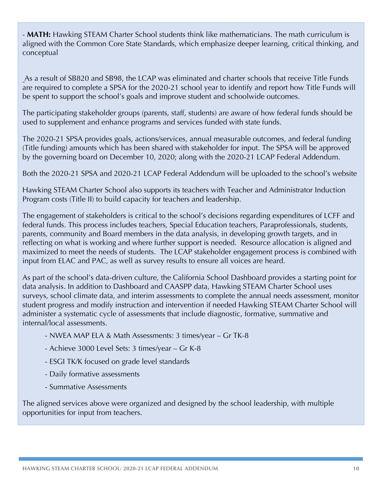- **MATH:** Hawking STEAM Charter School students think like mathematicians. The math curriculum is aligned with the Common Core State Standards, which emphasize deeper learning, critical thinking, and conceptual

As a result of SB820 and SB98, the LCAP was eliminated and charter schools that receive Title Funds are required to complete a SPSA for the 2020-21 school year to identify and report how Title Funds will be spent to support the school's goals and improve student and schoolwide outcomes.

The participating stakeholder groups (parents, staff, students) are aware of how federal funds should be used to supplement and enhance programs and services funded with state funds.

The 2020-21 SPSA provides goals, actions/services, annual measurable outcomes, and federal funding (Title funding) amounts which has been shared with stakeholder for input. The SPSA will be approved by the governing board on December 10, 2020; along with the 2020-21 LCAP Federal Addendum.

Both the 2020-21 SPSA and 2020-21 LCAP Federal Addendum will be uploaded to the school's website

Hawking STEAM Charter School also supports its teachers with Teacher and Administrator Induction Program costs (Title II) to build capacity for teachers and leadership.

The engagement of stakeholders is critical to the school's decisions regarding expenditures of LCFF and federal funds. This process includes teachers, Special Education teachers, Paraprofessionals, students, parents, community and Board members in the data analysis, in developing growth targets, and in reflecting on what is working and where further support is needed. Resource allocation is aligned and maximized to meet the needs of students. The LCAP stakeholder engagement process is combined with input from ELAC and PAC, as well as survey results to ensure all voices are heard.

As part of the school's data-driven culture, the California School Dashboard provides a starting point for data analysis. In addition to Dashboard and CAASPP data, Hawking STEAM Charter School uses surveys, school climate data, and interim assessments to complete the annual needs assessment, monitor student progress and modify instruction and intervention if needed Hawking STEAM Charter School will administer a systematic cycle of assessments that include diagnostic, formative, summative and internal/local assessments.

- NWEA MAP ELA & Math Assessments: 3 times/year Gr TK-8
- Achieve 3000 Level Sets: 3 times/year Gr K-8
- ESGI TK/K focused on grade level standards
- Daily formative assessments
- Summative Assessments

The aligned services above were organized and designed by the school leadership, with multiple opportunities for input from teachers.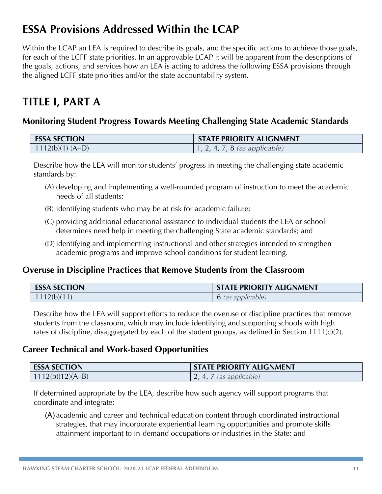# **ESSA Provisions Addressed Within the LCAP**

Within the LCAP an LEA is required to describe its goals, and the specific actions to achieve those goals, for each of the LCFF state priorities. In an approvable LCAP it will be apparent from the descriptions of the goals, actions, and services how an LEA is acting to address the following ESSA provisions through the aligned LCFF state priorities and/or the state accountability system.

# **TITLE I, PART A**

# **Monitoring Student Progress Towards Meeting Challenging State Academic Standards**

| <b>ESSA SECTION</b> | <b>STATE PRIORITY ALIGNMENT</b>       |
|---------------------|---------------------------------------|
| $1112(b)(1) (A-D)$  | $\vert$ 1, 2, 4, 7, 8 (as applicable) |

Describe how the LEA will monitor students' progress in meeting the challenging state academic standards by:

- (A) developing and implementing a well-rounded program of instruction to meet the academic needs of all students;
- (B) identifying students who may be at risk for academic failure;
- (C) providing additional educational assistance to individual students the LEA or school determines need help in meeting the challenging State academic standards; and
- (D) identifying and implementing instructional and other strategies intended to strengthen academic programs and improve school conditions for student learning.

### **Overuse in Discipline Practices that Remove Students from the Classroom**

| <b>ESSA SECTION</b> | <b>STATE PRIORITY ALIGNMENT</b> |
|---------------------|---------------------------------|
| 1112(b)(11)         | <b>6</b> (as applicable)        |

Describe how the LEA will support efforts to reduce the overuse of discipline practices that remove students from the classroom, which may include identifying and supporting schools with high rates of discipline, disaggregated by each of the student groups, as defined in Section 1111(c)(2).

### **Career Technical and Work-based Opportunities**

| <b>ESSA SECTION</b> | <b>STATE PRIORITY ALIGNMENT</b> |
|---------------------|---------------------------------|
| $1112(b)(12)(A-B)$  | $\vert$ 2, 4, 7 (as applicable) |

If determined appropriate by the LEA, describe how such agency will support programs that coordinate and integrate:

(A) academic and career and technical education content through coordinated instructional strategies, that may incorporate experiential learning opportunities and promote skills attainment important to in-demand occupations or industries in the State; and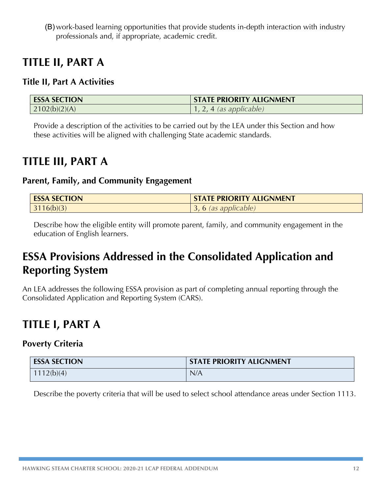(B) work-based learning opportunities that provide students in-depth interaction with industry professionals and, if appropriate, academic credit.

# **TITLE II, PART A**

# **Title II, Part A Activities**

| <b>ESSA SECTION</b> | <b>STATE PRIORITY ALIGNMENT</b> |
|---------------------|---------------------------------|
| 2102(b)(2)(A)       | $, 2, 4$ (as applicable)        |

Provide a description of the activities to be carried out by the LEA under this Section and how these activities will be aligned with challenging State academic standards.

# **TITLE III, PART A**

### **Parent, Family, and Community Engagement**

| <b>ESSA SECTION</b> | <b>STATE PRIORITY ALIGNMENT</b> |
|---------------------|---------------------------------|
| 3116(b)(3)          | , 6 (as applicable)             |

Describe how the eligible entity will promote parent, family, and community engagement in the education of English learners.

# **ESSA Provisions Addressed in the Consolidated Application and Reporting System**

An LEA addresses the following ESSA provision as part of completing annual reporting through the Consolidated Application and Reporting System (CARS).

# **TITLE I, PART A**

# **Poverty Criteria**

| <b>ESSA SECTION</b> | <b>STATE PRIORITY ALIGNMENT</b> |
|---------------------|---------------------------------|
| 1112(b)(4)          | N/A                             |

Describe the poverty criteria that will be used to select school attendance areas under Section 1113.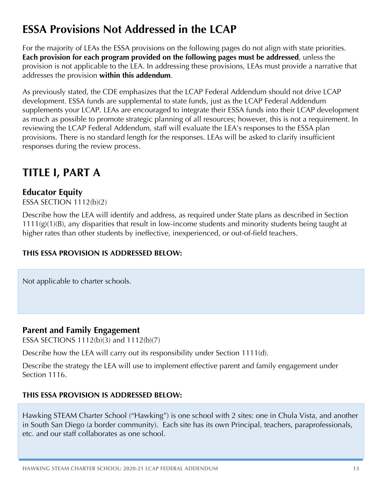# **ESSA Provisions Not Addressed in the LCAP**

For the majority of LEAs the ESSA provisions on the following pages do not align with state priorities. **Each provision for each program provided on the following pages must be addressed**, unless the provision is not applicable to the LEA. In addressing these provisions, LEAs must provide a narrative that addresses the provision **within this addendum**.

As previously stated, the CDE emphasizes that the LCAP Federal Addendum should not drive LCAP development. ESSA funds are supplemental to state funds, just as the LCAP Federal Addendum supplements your LCAP. LEAs are encouraged to integrate their ESSA funds into their LCAP development as much as possible to promote strategic planning of all resources; however, this is not a requirement. In reviewing the LCAP Federal Addendum, staff will evaluate the LEA's responses to the ESSA plan provisions. There is no standard length for the responses. LEAs will be asked to clarify insufficient responses during the review process.

# **TITLE I, PART A**

# **Educator Equity**

ESSA SECTION 1112(b)(2)

Describe how the LEA will identify and address, as required under State plans as described in Section  $1111(g)(1)(B)$ , any disparities that result in low-income students and minority students being taught at higher rates than other students by ineffective, inexperienced, or out-of-field teachers.

### **THIS ESSA PROVISION IS ADDRESSED BELOW:**

Not applicable to charter schools.

### **Parent and Family Engagement**

ESSA SECTIONS 1112(b)(3) and 1112(b)(7)

Describe how the LEA will carry out its responsibility under Section 1111(d).

Describe the strategy the LEA will use to implement effective parent and family engagement under Section 1116.

# **THIS ESSA PROVISION IS ADDRESSED BELOW:**

Hawking STEAM Charter School ("Hawking") is one school with 2 sites: one in Chula Vista, and another in South San Diego (a border community). Each site has its own Principal, teachers, paraprofessionals, etc. and our staff collaborates as one school.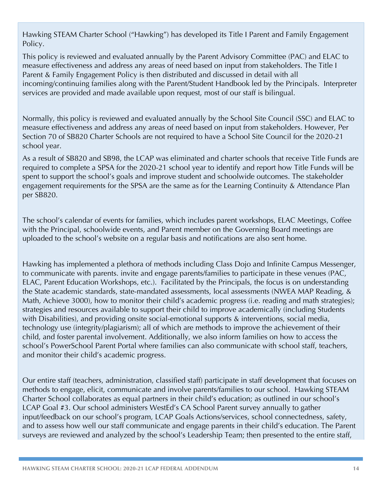Hawking STEAM Charter School ("Hawking") has developed its Title I Parent and Family Engagement Policy.

This policy is reviewed and evaluated annually by the Parent Advisory Committee (PAC) and ELAC to measure effectiveness and address any areas of need based on input from stakeholders. The Title I Parent & Family Engagement Policy is then distributed and discussed in detail with all incoming/continuing families along with the Parent/Student Handbook led by the Principals. Interpreter services are provided and made available upon request, most of our staff is bilingual.

Normally, this policy is reviewed and evaluated annually by the School Site Council (SSC) and ELAC to measure effectiveness and address any areas of need based on input from stakeholders. However, Per Section 70 of SB820 Charter Schools are not required to have a School Site Council for the 2020-21 school year.

As a result of SB820 and SB98, the LCAP was eliminated and charter schools that receive Title Funds are required to complete a SPSA for the 2020-21 school year to identify and report how Title Funds will be spent to support the school's goals and improve student and schoolwide outcomes. The stakeholder engagement requirements for the SPSA are the same as for the Learning Continuity & Attendance Plan per SB820.

The school's calendar of events for families, which includes parent workshops, ELAC Meetings, Coffee with the Principal, schoolwide events, and Parent member on the Governing Board meetings are uploaded to the school's website on a regular basis and notifications are also sent home.

Hawking has implemented a plethora of methods including Class Dojo and Infinite Campus Messenger, to communicate with parents. invite and engage parents/families to participate in these venues (PAC, ELAC, Parent Education Workshops, etc.). Facilitated by the Principals, the focus is on understanding the State academic standards, state-mandated assessments, local assessments (NWEA MAP Reading, & Math, Achieve 3000), how to monitor their child's academic progress (i.e. reading and math strategies); strategies and resources available to support their child to improve academically (including Students with Disabilities), and providing onsite social-emotional supports & interventions, social media, technology use (integrity/plagiarism); all of which are methods to improve the achievement of their child, and foster parental involvement. Additionally, we also inform families on how to access the school's PowerSchool Parent Portal where families can also communicate with school staff, teachers, and monitor their child's academic progress.

Our entire staff (teachers, administration, classified staff) participate in staff development that focuses on methods to engage, elicit, communicate and involve parents/families to our school. Hawking STEAM Charter School collaborates as equal partners in their child's education; as outlined in our school's LCAP Goal #3. Our school administers WestEd's CA School Parent survey annually to gather input/feedback on our school's program, LCAP Goals Actions/services, school connectedness, safety, and to assess how well our staff communicate and engage parents in their child's education. The Parent surveys are reviewed and analyzed by the school's Leadership Team; then presented to the entire staff,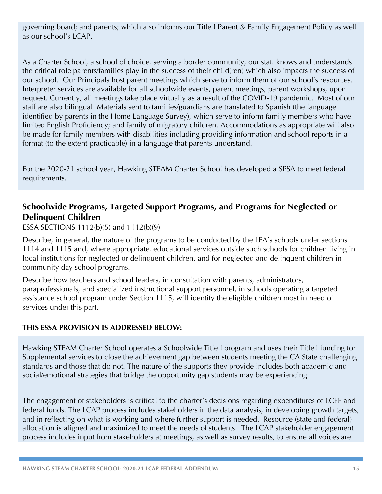governing board; and parents; which also informs our Title I Parent & Family Engagement Policy as well as our school's LCAP.

As a Charter School, a school of choice, serving a border community, our staff knows and understands the critical role parents/families play in the success of their child(ren) which also impacts the success of our school. Our Principals host parent meetings which serve to inform them of our school's resources. Interpreter services are available for all schoolwide events, parent meetings, parent workshops, upon request. Currently, all meetings take place virtually as a result of the COVID-19 pandemic. Most of our staff are also bilingual. Materials sent to families/guardians are translated to Spanish (the language identified by parents in the Home Language Survey), which serve to inform family members who have limited English Proficiency; and family of migratory children. Accommodations as appropriate will also be made for family members with disabilities including providing information and school reports in a format (to the extent practicable) in a language that parents understand.

For the 2020-21 school year, Hawking STEAM Charter School has developed a SPSA to meet federal requirements.

## **Schoolwide Programs, Targeted Support Programs, and Programs for Neglected or Delinquent Children**

ESSA SECTIONS 1112(b)(5) and 1112(b)(9)

Describe, in general, the nature of the programs to be conducted by the LEA's schools under sections 1114 and 1115 and, where appropriate, educational services outside such schools for children living in local institutions for neglected or delinquent children, and for neglected and delinquent children in community day school programs.

Describe how teachers and school leaders, in consultation with parents, administrators, paraprofessionals, and specialized instructional support personnel, in schools operating a targeted assistance school program under Section 1115, will identify the eligible children most in need of services under this part.

#### **THIS ESSA PROVISION IS ADDRESSED BELOW:**

Hawking STEAM Charter School operates a Schoolwide Title I program and uses their Title I funding for Supplemental services to close the achievement gap between students meeting the CA State challenging standards and those that do not. The nature of the supports they provide includes both academic and social/emotional strategies that bridge the opportunity gap students may be experiencing.

The engagement of stakeholders is critical to the charter's decisions regarding expenditures of LCFF and federal funds. The LCAP process includes stakeholders in the data analysis, in developing growth targets, and in reflecting on what is working and where further support is needed. Resource (state and federal) allocation is aligned and maximized to meet the needs of students. The LCAP stakeholder engagement process includes input from stakeholders at meetings, as well as survey results, to ensure all voices are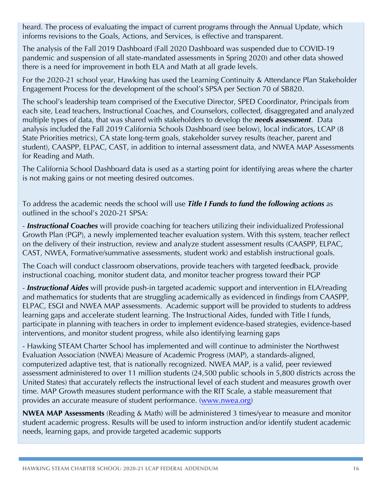heard. The process of evaluating the impact of current programs through the Annual Update, which informs revisions to the Goals, Actions, and Services, is effective and transparent.

The analysis of the Fall 2019 Dashboard (Fall 2020 Dashboard was suspended due to COVID-19 pandemic and suspension of all state-mandated assessments in Spring 2020) and other data showed there is a need for improvement in both ELA and Math at all grade levels.

For the 2020-21 school year, Hawking has used the Learning Continuity & Attendance Plan Stakeholder Engagement Process for the development of the school's SPSA per Section 70 of SB820.

The school's leadership team comprised of the Executive Director, SPED Coordinator, Principals from each site, Lead teachers, Instructional Coaches, and Counselors, collected, disaggregated and analyzed multiple types of data, that was shared with stakeholders to develop the *needs assessment*. Data analysis included the Fall 2019 California Schools Dashboard (see below), local indicators, LCAP (8 State Priorities metrics), CA state long-term goals, stakeholder survey results (teacher, parent and student), CAASPP, ELPAC, CAST, in addition to internal assessment data, and NWEA MAP Assessments for Reading and Math.

The California School Dashboard data is used as a starting point for identifying areas where the charter is not making gains or not meeting desired outcomes.

To address the academic needs the school will use *Title I Funds to fund the following actions* as outlined in the school's 2020-21 SPSA:

- *Instructional Coaches* will provide coaching for teachers utilizing their individualized Professional Growth Plan (PGP), a newly implemented teacher evaluation system. With this system, teacher reflect on the delivery of their instruction, review and analyze student assessment results (CAASPP, ELPAC, CAST, NWEA, Formative/summative assessments, student work) and establish instructional goals.

The Coach will conduct classroom observations, provide teachers with targeted feedback, provide instructional coaching, monitor student data, and monitor teacher progress toward their PGP

- *Instructional Aides* will provide push-in targeted academic support and intervention in ELA/reading and mathematics for students that are struggling academically as evidenced in findings from CAASPP, ELPAC, ESGI and NWEA MAP assessments. Academic support will be provided to students to address learning gaps and accelerate student learning. The Instructional Aides, funded with Title I funds, participate in planning with teachers in order to implement evidence-based strategies, evidence-based interventions, and monitor student progress, while also identifying learning gaps

- Hawking STEAM Charter School has implemented and will continue to administer the Northwest Evaluation Association (NWEA) Measure of Academic Progress (MAP), a standards-aligned, computerized adaptive test, that is nationally recognized. NWEA MAP, is a valid, peer reviewed assessment administered to over 11 million students (24,500 public schools in 5,800 districts across the United States) that accurately reflects the instructional level of each student and measures growth over time. MAP Growth measures student performance with the RIT Scale, a stable measurement that provides an accurate measure of student performance. (www.nwea.org)

**NWEA MAP Assessments** (Reading & Math) will be administered 3 times/year to measure and monitor student academic progress. Results will be used to inform instruction and/or identify student academic needs, learning gaps, and provide targeted academic supports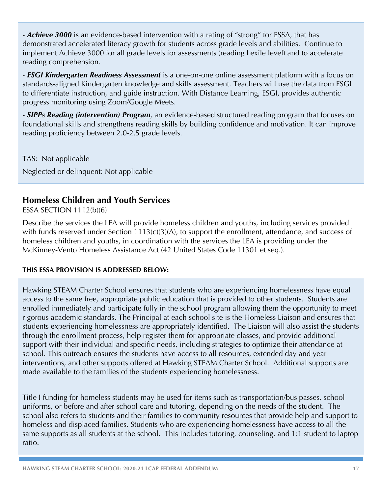- *Achieve 3000* is an evidence-based intervention with a rating of "strong" for ESSA, that has demonstrated accelerated literacy growth for students across grade levels and abilities. Continue to implement Achieve 3000 for all grade levels for assessments (reading Lexile level) and to accelerate reading comprehension.

- *ESGI Kindergarten Readiness Assessment* is a one-on-one online assessment platform with a focus on standards-aligned Kindergarten knowledge and skills assessment. Teachers will use the data from ESGI to differentiate instruction, and guide instruction. With Distance Learning, ESGI, provides authentic progress monitoring using Zoom/Google Meets.

- *SIPPs Reading (intervention) Program*, an evidence-based structured reading program that focuses on foundational skills and strengthens reading skills by building confidence and motivation. It can improve reading proficiency between 2.0-2.5 grade levels.

TAS: Not applicable Neglected or delinquent: Not applicable

# **Homeless Children and Youth Services**

ESSA SECTION 1112(b)(6)

Describe the services the LEA will provide homeless children and youths, including services provided with funds reserved under Section 1113(c)(3)(A), to support the enrollment, attendance, and success of homeless children and youths, in coordination with the services the LEA is providing under the McKinney-Vento Homeless Assistance Act (42 United States Code 11301 et seq.).

#### **THIS ESSA PROVISION IS ADDRESSED BELOW:**

Hawking STEAM Charter School ensures that students who are experiencing homelessness have equal access to the same free, appropriate public education that is provided to other students. Students are enrolled immediately and participate fully in the school program allowing them the opportunity to meet rigorous academic standards. The Principal at each school site is the Homeless Liaison and ensures that students experiencing homelessness are appropriately identified. The Liaison will also assist the students through the enrollment process, help register them for appropriate classes, and provide additional support with their individual and specific needs, including strategies to optimize their attendance at school. This outreach ensures the students have access to all resources, extended day and year interventions, and other supports offered at Hawking STEAM Charter School. Additional supports are made available to the families of the students experiencing homelessness.

Title I funding for homeless students may be used for items such as transportation/bus passes, school uniforms, or before and after school care and tutoring, depending on the needs of the student. The school also refers to students and their families to community resources that provide help and support to homeless and displaced families. Students who are experiencing homelessness have access to all the same supports as all students at the school. This includes tutoring, counseling, and 1:1 student to laptop ratio.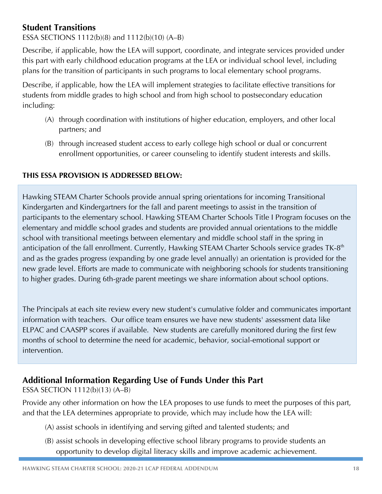## **Student Transitions**

### ESSA SECTIONS 1112(b)(8) and 1112(b)(10) (A–B)

Describe, if applicable, how the LEA will support, coordinate, and integrate services provided under this part with early childhood education programs at the LEA or individual school level, including plans for the transition of participants in such programs to local elementary school programs.

Describe, if applicable, how the LEA will implement strategies to facilitate effective transitions for students from middle grades to high school and from high school to postsecondary education including:

- (A) through coordination with institutions of higher education, employers, and other local partners; and
- (B) through increased student access to early college high school or dual or concurrent enrollment opportunities, or career counseling to identify student interests and skills.

#### **THIS ESSA PROVISION IS ADDRESSED BELOW:**

Hawking STEAM Charter Schools provide annual spring orientations for incoming Transitional Kindergarten and Kindergartners for the fall and parent meetings to assist in the transition of participants to the elementary school. Hawking STEAM Charter Schools Title I Program focuses on the elementary and middle school grades and students are provided annual orientations to the middle school with transitional meetings between elementary and middle school staff in the spring in anticipation of the fall enrollment. Currently, Hawking STEAM Charter Schools service grades TK-8<sup>th</sup> and as the grades progress (expanding by one grade level annually) an orientation is provided for the new grade level. Efforts are made to communicate with neighboring schools for students transitioning to higher grades. During 6th-grade parent meetings we share information about school options.

The Principals at each site review every new student's cumulative folder and communicates important information with teachers. Our office team ensures we have new students' assessment data like ELPAC and CAASPP scores if available. New students are carefully monitored during the first few months of school to determine the need for academic, behavior, social-emotional support or intervention.

# **Additional Information Regarding Use of Funds Under this Part**

ESSA SECTION 1112(b)(13) (A–B)

Provide any other information on how the LEA proposes to use funds to meet the purposes of this part, and that the LEA determines appropriate to provide, which may include how the LEA will:

- (A) assist schools in identifying and serving gifted and talented students; and
- (B) assist schools in developing effective school library programs to provide students an opportunity to develop digital literacy skills and improve academic achievement.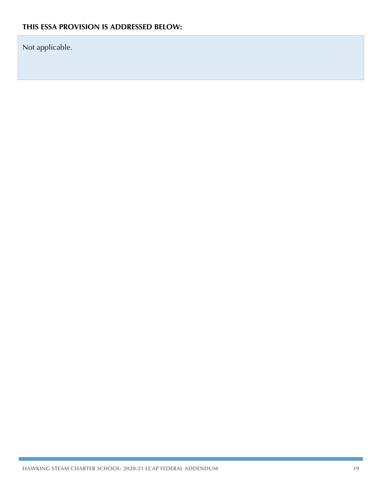Not applicable.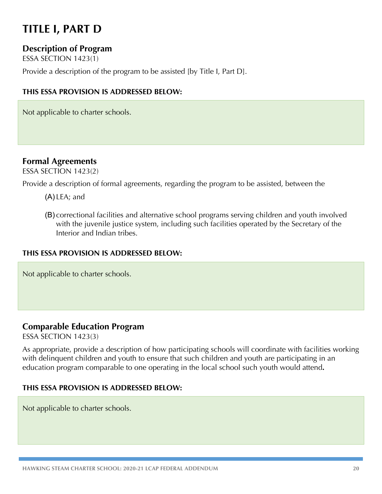# **TITLE I, PART D**

## **Description of Program**

ESSA SECTION 1423(1)

Provide a description of the program to be assisted [by Title I, Part D].

#### **THIS ESSA PROVISION IS ADDRESSED BELOW:**

Not applicable to charter schools.

## **Formal Agreements**

ESSA SECTION 1423(2)

Provide a description of formal agreements, regarding the program to be assisted, between the

- (A) LEA; and
- (B) correctional facilities and alternative school programs serving children and youth involved with the juvenile justice system, including such facilities operated by the Secretary of the Interior and Indian tribes.

#### **THIS ESSA PROVISION IS ADDRESSED BELOW:**

Not applicable to charter schools.

### **Comparable Education Program**

ESSA SECTION 1423(3)

As appropriate, provide a description of how participating schools will coordinate with facilities working with delinquent children and youth to ensure that such children and youth are participating in an education program comparable to one operating in the local school such youth would attend**.**

#### **THIS ESSA PROVISION IS ADDRESSED BELOW:**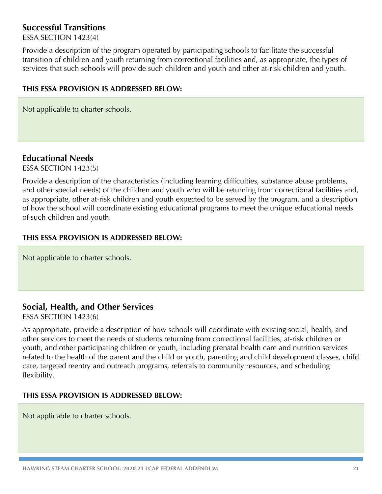### **Successful Transitions**

ESSA SECTION 1423(4)

Provide a description of the program operated by participating schools to facilitate the successful transition of children and youth returning from correctional facilities and, as appropriate, the types of services that such schools will provide such children and youth and other at-risk children and youth.

#### **THIS ESSA PROVISION IS ADDRESSED BELOW:**

Not applicable to charter schools.

### **Educational Needs**

ESSA SECTION 1423(5)

Provide a description of the characteristics (including learning difficulties, substance abuse problems, and other special needs) of the children and youth who will be returning from correctional facilities and, as appropriate, other at-risk children and youth expected to be served by the program, and a description of how the school will coordinate existing educational programs to meet the unique educational needs of such children and youth.

#### **THIS ESSA PROVISION IS ADDRESSED BELOW:**

Not applicable to charter schools.

### **Social, Health, and Other Services**

ESSA SECTION 1423(6)

As appropriate, provide a description of how schools will coordinate with existing social, health, and other services to meet the needs of students returning from correctional facilities, at-risk children or youth, and other participating children or youth, including prenatal health care and nutrition services related to the health of the parent and the child or youth, parenting and child development classes, child care, targeted reentry and outreach programs, referrals to community resources, and scheduling flexibility.

#### **THIS ESSA PROVISION IS ADDRESSED BELOW:**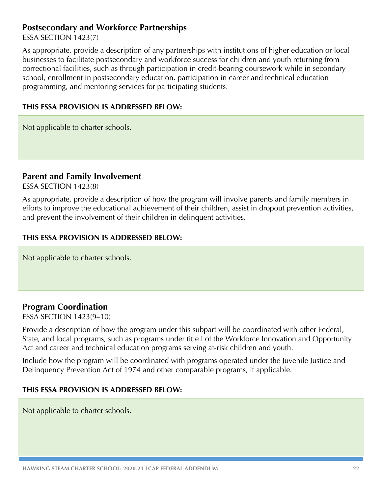### **Postsecondary and Workforce Partnerships**

#### ESSA SECTION 1423(7)

As appropriate, provide a description of any partnerships with institutions of higher education or local businesses to facilitate postsecondary and workforce success for children and youth returning from correctional facilities, such as through participation in credit-bearing coursework while in secondary school, enrollment in postsecondary education, participation in career and technical education programming, and mentoring services for participating students.

#### **THIS ESSA PROVISION IS ADDRESSED BELOW:**

Not applicable to charter schools.

#### **Parent and Family Involvement**

ESSA SECTION 1423(8)

As appropriate, provide a description of how the program will involve parents and family members in efforts to improve the educational achievement of their children, assist in dropout prevention activities, and prevent the involvement of their children in delinquent activities.

#### **THIS ESSA PROVISION IS ADDRESSED BELOW:**

Not applicable to charter schools.

### **Program Coordination**

ESSA SECTION 1423(9–10)

Provide a description of how the program under this subpart will be coordinated with other Federal, State, and local programs, such as programs under title I of the Workforce Innovation and Opportunity Act and career and technical education programs serving at-risk children and youth.

Include how the program will be coordinated with programs operated under the Juvenile Justice and Delinquency Prevention Act of 1974 and other comparable programs, if applicable.

#### **THIS ESSA PROVISION IS ADDRESSED BELOW:**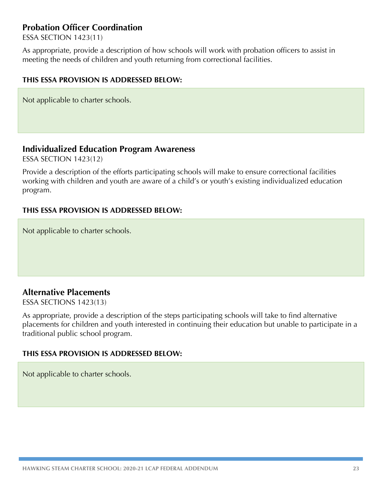### **Probation Officer Coordination**

ESSA SECTION 1423(11)

As appropriate, provide a description of how schools will work with probation officers to assist in meeting the needs of children and youth returning from correctional facilities.

#### **THIS ESSA PROVISION IS ADDRESSED BELOW:**

Not applicable to charter schools.

#### **Individualized Education Program Awareness**

ESSA SECTION 1423(12)

Provide a description of the efforts participating schools will make to ensure correctional facilities working with children and youth are aware of a child's or youth's existing individualized education program.

#### **THIS ESSA PROVISION IS ADDRESSED BELOW:**

Not applicable to charter schools.

### **Alternative Placements**

ESSA SECTIONS 1423(13)

As appropriate, provide a description of the steps participating schools will take to find alternative placements for children and youth interested in continuing their education but unable to participate in a traditional public school program.

#### **THIS ESSA PROVISION IS ADDRESSED BELOW:**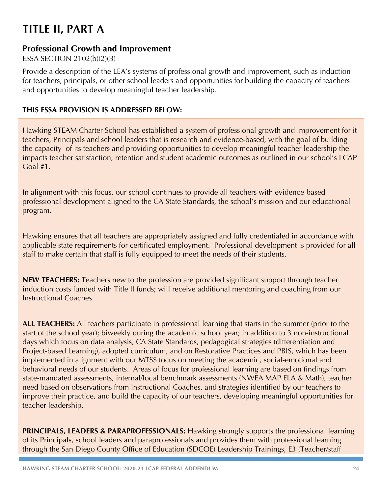# **TITLE II, PART A**

### **Professional Growth and Improvement**

#### ESSA SECTION 2102(b)(2)(B)

Provide a description of the LEA's systems of professional growth and improvement, such as induction for teachers, principals, or other school leaders and opportunities for building the capacity of teachers and opportunities to develop meaningful teacher leadership.

#### **THIS ESSA PROVISION IS ADDRESSED BELOW:**

Hawking STEAM Charter School has established a system of professional growth and improvement for it teachers, Principals and school leaders that is research and evidence-based, with the goal of building the capacity of its teachers and providing opportunities to develop meaningful teacher leadership the impacts teacher satisfaction, retention and student academic outcomes as outlined in our school's LCAP Goal #1.

In alignment with this focus, our school continues to provide all teachers with evidence-based professional development aligned to the CA State Standards, the school's mission and our educational program.

Hawking ensures that all teachers are appropriately assigned and fully credentialed in accordance with applicable state requirements for certificated employment. Professional development is provided for all staff to make certain that staff is fully equipped to meet the needs of their students.

**NEW TEACHERS:** Teachers new to the profession are provided significant support through teacher induction costs funded with Title II funds; will receive additional mentoring and coaching from our Instructional Coaches.

**ALL TEACHERS:** All teachers participate in professional learning that starts in the summer (prior to the start of the school year); biweekly during the academic school year; in addition to 3 non-instructional days which focus on data analysis, CA State Standards, pedagogical strategies (differentiation and Project-based Learning), adopted curriculum, and on Restorative Practices and PBIS, which has been implemented in alignment with our MTSS focus on meeting the academic, social-emotional and behavioral needs of our students. Areas of focus for professional learning are based on findings from state-mandated assessments, internal/local benchmark assessments (NWEA MAP ELA & Math), teacher need based on observations from Instructional Coaches, and strategies identified by our teachers to improve their practice, and build the capacity of our teachers, developing meaningful opportunities for teacher leadership.

**PRINCIPALS, LEADERS & PARAPROFESSIONALS:** Hawking strongly supports the professional learning of its Principals, school leaders and paraprofessionals and provides them with professional learning through the San Diego County Office of Education (SDCOE) Leadership Trainings, E3 (Teacher/staff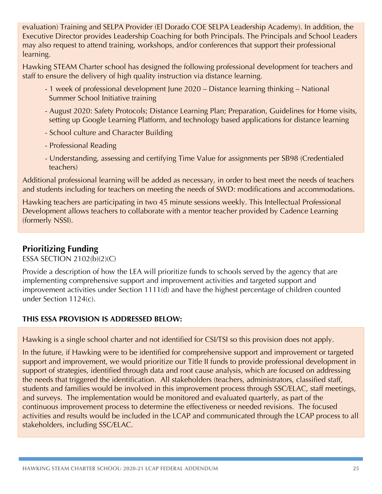evaluation) Training and SELPA Provider (El Dorado COE SELPA Leadership Academy). In addition, the Executive Director provides Leadership Coaching for both Principals. The Principals and School Leaders may also request to attend training, workshops, and/or conferences that support their professional learning.

Hawking STEAM Charter school has designed the following professional development for teachers and staff to ensure the delivery of high quality instruction via distance learning.

- 1 week of professional development June 2020 Distance learning thinking National Summer School Initiative training
- August 2020: Safety Protocols; Distance Learning Plan; Preparation, Guidelines for Home visits, setting up Google Learning Platform, and technology based applications for distance learning
- School culture and Character Building
- Professional Reading
- Understanding, assessing and certifying Time Value for assignments per SB98 (Credentialed teachers)

Additional professional learning will be added as necessary, in order to best meet the needs of teachers and students including for teachers on meeting the needs of SWD: modifications and accommodations.

Hawking teachers are participating in two 45 minute sessions weekly. This Intellectual Professional Development allows teachers to collaborate with a mentor teacher provided by Cadence Learning (formerly NSSI).

# **Prioritizing Funding**

ESSA SECTION 2102(b)(2)(C)

Provide a description of how the LEA will prioritize funds to schools served by the agency that are implementing comprehensive support and improvement activities and targeted support and improvement activities under Section 1111(d) and have the highest percentage of children counted under Section 1124(c).

### **THIS ESSA PROVISION IS ADDRESSED BELOW:**

Hawking is a single school charter and not identified for CSI/TSI so this provision does not apply.

In the future, if Hawking were to be identified for comprehensive support and improvement or targeted support and improvement, we would prioritize our Title II funds to provide professional development in support of strategies, identified through data and root cause analysis, which are focused on addressing the needs that triggered the identification. All stakeholders (teachers, administrators, classified staff, students and families would be involved in this improvement process through SSC/ELAC, staff meetings, and surveys. The implementation would be monitored and evaluated quarterly, as part of the continuous improvement process to determine the effectiveness or needed revisions. The focused activities and results would be included in the LCAP and communicated through the LCAP process to all stakeholders, including SSC/ELAC.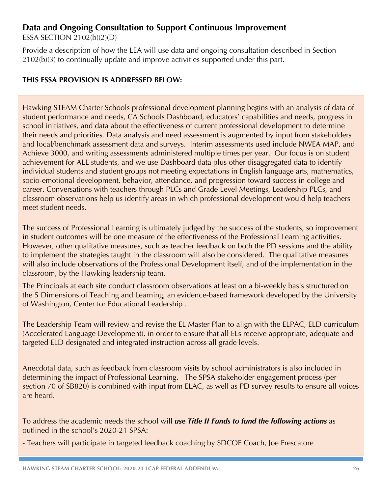### **Data and Ongoing Consultation to Support Continuous Improvement**

ESSA SECTION 2102(b)(2)(D)

Provide a description of how the LEA will use data and ongoing consultation described in Section 2102(b)(3) to continually update and improve activities supported under this part.

#### **THIS ESSA PROVISION IS ADDRESSED BELOW:**

Hawking STEAM Charter Schools professional development planning begins with an analysis of data of student performance and needs, CA Schools Dashboard, educators' capabilities and needs, progress in school initiatives, and data about the effectiveness of current professional development to determine their needs and priorities. Data analysis and need assessment is augmented by input from stakeholders and local/benchmark assessment data and surveys. Interim assessments used include NWEA MAP, and Achieve 3000, and writing assessments administered multiple times per year. Our focus is on student achievement for ALL students, and we use Dashboard data plus other disaggregated data to identify individual students and student groups not meeting expectations in English language arts, mathematics, socio-emotional development, behavior, attendance, and progression toward success in college and career. Conversations with teachers through PLCs and Grade Level Meetings, Leadership PLCs, and classroom observations help us identify areas in which professional development would help teachers meet student needs.

The success of Professional Learning is ultimately judged by the success of the students, so improvement in student outcomes will be one measure of the effectiveness of the Professional Learning activities. However, other qualitative measures, such as teacher feedback on both the PD sessions and the ability to implement the strategies taught in the classroom will also be considered. The qualitative measures will also include observations of the Professional Development itself, and of the implementation in the classroom, by the Hawking leadership team.

The Principals at each site conduct classroom observations at least on a bi-weekly basis structured on the 5 Dimensions of Teaching and Learning, an evidence-based framework developed by the University of Washington, Center for Educational Leadership .

The Leadership Team will review and revise the EL Master Plan to align with the ELPAC, ELD curriculum (Accelerated Language Development), in order to ensure that all ELs receive appropriate, adequate and targeted ELD designated and integrated instruction across all grade levels.

Anecdotal data, such as feedback from classroom visits by school administrators is also included in determining the impact of Professional Learning. The SPSA stakeholder engagement process (per section 70 of SB820) is combined with input from ELAC, as well as PD survey results to ensure all voices are heard.

To address the academic needs the school will *use Title II Funds to fund the following actions* as outlined in the school's 2020-21 SPSA:

- Teachers will participate in targeted feedback coaching by SDCOE Coach, Joe Frescatore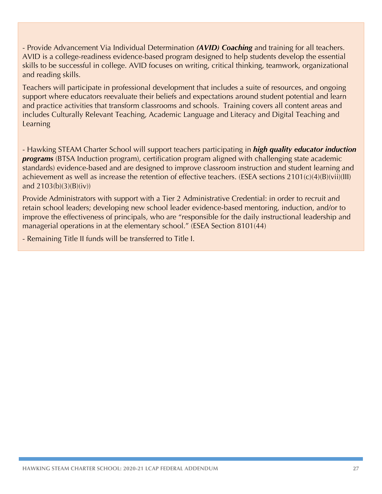- Provide Advancement Via Individual Determination *(AVID) Coaching* and training for all teachers. AVID is a college-readiness evidence-based program designed to help students develop the essential skills to be successful in college. AVID focuses on writing, critical thinking, teamwork, organizational and reading skills.

Teachers will participate in professional development that includes a suite of resources, and ongoing support where educators reevaluate their beliefs and expectations around student potential and learn and practice activities that transform classrooms and schools. Training covers all content areas and includes Culturally Relevant Teaching, Academic Language and Literacy and Digital Teaching and Learning

- Hawking STEAM Charter School will support teachers participating in *high quality educator induction programs* (BTSA Induction program), certification program aligned with challenging state academic standards) evidence-based and are designed to improve classroom instruction and student learning and achievement as well as increase the retention of effective teachers. (ESEA sections 2101(c)(4)(B)(vii)(III) and  $2103(b)(3)(B)(iv)$ 

Provide Administrators with support with a Tier 2 Administrative Credential: in order to recruit and retain school leaders; developing new school leader evidence-based mentoring, induction, and/or to improve the effectiveness of principals, who are "responsible for the daily instructional leadership and managerial operations in at the elementary school." (ESEA Section 8101(44)

- Remaining Title II funds will be transferred to Title I.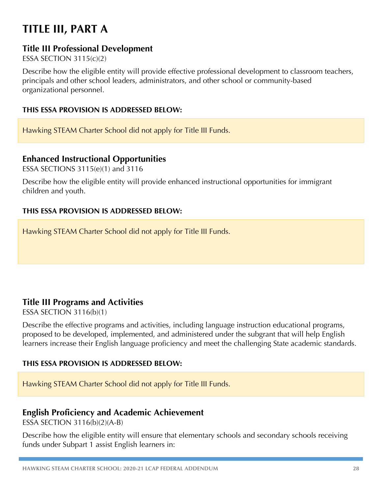# **TITLE III, PART A**

### **Title III Professional Development**

ESSA SECTION 3115(c)(2)

Describe how the eligible entity will provide effective professional development to classroom teachers, principals and other school leaders, administrators, and other school or community-based organizational personnel.

#### **THIS ESSA PROVISION IS ADDRESSED BELOW:**

Hawking STEAM Charter School did not apply for Title III Funds.

### **Enhanced Instructional Opportunities**

ESSA SECTIONS 3115(e)(1) and 3116

Describe how the eligible entity will provide enhanced instructional opportunities for immigrant children and youth.

#### **THIS ESSA PROVISION IS ADDRESSED BELOW:**

Hawking STEAM Charter School did not apply for Title III Funds.

### **Title III Programs and Activities**

ESSA SECTION 3116(b)(1)

Describe the effective programs and activities, including language instruction educational programs, proposed to be developed, implemented, and administered under the subgrant that will help English learners increase their English language proficiency and meet the challenging State academic standards.

#### **THIS ESSA PROVISION IS ADDRESSED BELOW:**

Hawking STEAM Charter School did not apply for Title III Funds.

### **English Proficiency and Academic Achievement**

ESSA SECTION 3116(b)(2)(A-B)

Describe how the eligible entity will ensure that elementary schools and secondary schools receiving funds under Subpart 1 assist English learners in: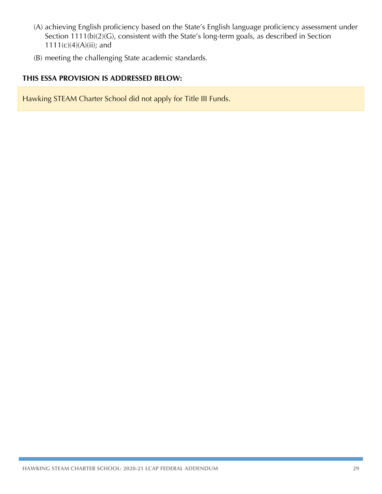- (A) achieving English proficiency based on the State's English language proficiency assessment under Section 1111(b)(2)(G), consistent with the State's long-term goals, as described in Section 1111(c)(4)(A)(ii); and
- (B) meeting the challenging State academic standards.

#### **THIS ESSA PROVISION IS ADDRESSED BELOW:**

Hawking STEAM Charter School did not apply for Title III Funds.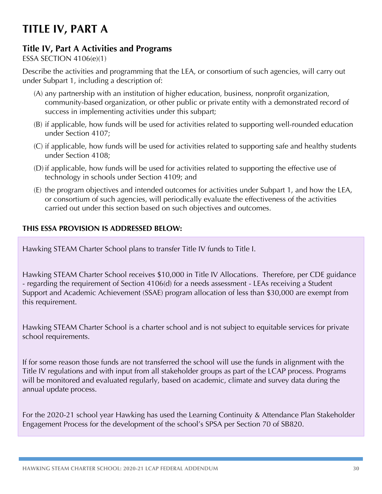# **TITLE IV, PART A**

### **Title IV, Part A Activities and Programs**

#### ESSA SECTION 4106(e)(1)

Describe the activities and programming that the LEA, or consortium of such agencies, will carry out under Subpart 1, including a description of:

- (A) any partnership with an institution of higher education, business, nonprofit organization, community-based organization, or other public or private entity with a demonstrated record of success in implementing activities under this subpart;
- (B) if applicable, how funds will be used for activities related to supporting well-rounded education under Section 4107;
- (C) if applicable, how funds will be used for activities related to supporting safe and healthy students under Section 4108;
- (D) if applicable, how funds will be used for activities related to supporting the effective use of technology in schools under Section 4109; and
- (E) the program objectives and intended outcomes for activities under Subpart 1, and how the LEA, or consortium of such agencies, will periodically evaluate the effectiveness of the activities carried out under this section based on such objectives and outcomes.

#### **THIS ESSA PROVISION IS ADDRESSED BELOW:**

Hawking STEAM Charter School plans to transfer Title IV funds to Title I.

Hawking STEAM Charter School receives \$10,000 in Title IV Allocations. Therefore, per CDE guidance - regarding the requirement of Section 4106(d) for a needs assessment - LEAs receiving a Student Support and Academic Achievement (SSAE) program allocation of less than \$30,000 are exempt from this requirement.

Hawking STEAM Charter School is a charter school and is not subject to equitable services for private school requirements.

If for some reason those funds are not transferred the school will use the funds in alignment with the Title IV regulations and with input from all stakeholder groups as part of the LCAP process. Programs will be monitored and evaluated regularly, based on academic, climate and survey data during the annual update process.

For the 2020-21 school year Hawking has used the Learning Continuity & Attendance Plan Stakeholder Engagement Process for the development of the school's SPSA per Section 70 of SB820.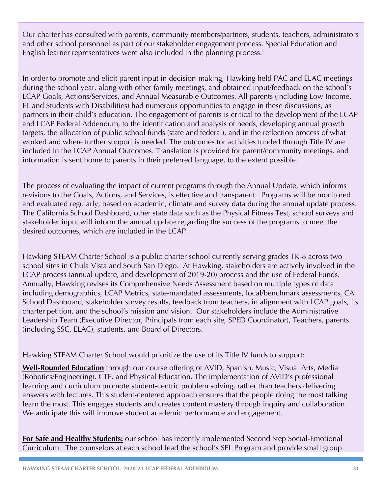Our charter has consulted with parents, community members/partners, students, teachers, administrators and other school personnel as part of our stakeholder engagement process. Special Education and English learner representatives were also included in the planning process.

In order to promote and elicit parent input in decision-making, Hawking held PAC and ELAC meetings during the school year, along with other family meetings, and obtained input/feedback on the school's LCAP Goals, Actions/Services, and Annual Measurable Outcomes. All parents (including Low Income, EL and Students with Disabilities) had numerous opportunities to engage in these discussions, as partners in their child's education. The engagement of parents is critical to the development of the LCAP and LCAP Federal Addendum, to the identification and analysis of needs, developing annual growth targets, the allocation of public school funds (state and federal), and in the reflection process of what worked and where further support is needed. The outcomes for activities funded through Title IV are included in the LCAP Annual Outcomes. Translation is provided for parent/community meetings, and information is sent home to parents in their preferred language, to the extent possible.

The process of evaluating the impact of current programs through the Annual Update, which informs revisions to the Goals, Actions, and Services, is effective and transparent. Programs will be monitored and evaluated regularly, based on academic, climate and survey data during the annual update process. The California School Dashboard, other state data such as the Physical Fitness Test, school surveys and stakeholder input will inform the annual update regarding the success of the programs to meet the desired outcomes, which are included in the LCAP.

Hawking STEAM Charter School is a public charter school currently serving grades TK-8 across two school sites in Chula Vista and South San Diego. At Hawking, stakeholders are actively involved in the LCAP process (annual update, and development of 2019-20) process and the use of Federal Funds. Annually, Hawking revises its Comprehensive Needs Assessment based on multiple types of data including demographics, LCAP Metrics, state-mandated assessments, local/benchmark assessments, CA School Dashboard, stakeholder survey results, feedback from teachers, in alignment with LCAP goals, its charter petition, and the school's mission and vision. Our stakeholders include the Administrative Leadership Team (Executive Director, Principals from each site, SPED Coordinator), Teachers, parents (including SSC, ELAC), students, and Board of Directors.

Hawking STEAM Charter School would prioritize the use of its Title IV funds to support:

**Well-Rounded Education** through our course offering of AVID, Spanish, Music, Visual Arts, Media (Robotics/Engineering), CTE, and Physical Education. The implementation of AVID's professional learning and curriculum promote student-centric problem solving, rather than teachers delivering answers with lectures. This student-centered approach ensures that the people doing the most talking learn the most. This engages students and creates content mastery through inquiry and collaboration. We anticipate this will improve student academic performance and engagement.

**For Safe and Healthy Students:** our school has recently implemented Second Step Social-Emotional Curriculum. The counselors at each school lead the school's SEL Program and provide small group